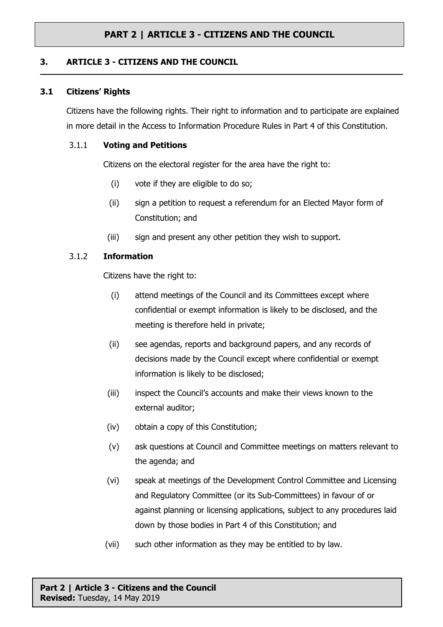# **PART 2 | ARTICLE 3 - CITIZENS AND THE COUNCIL**

# **3. ARTICLE 3 - CITIZENS AND THE COUNCIL**

### **3.1 Citizens' Rights**

Citizens have the following rights. Their right to information and to participate are explained in more detail in the Access to Information Procedure Rules in Part 4 of this Constitution.

### 3.1.1 **Voting and Petitions**

Citizens on the electoral register for the area have the right to:

- (i) vote if they are eligible to do so;
- (ii) sign a petition to request a referendum for an Elected Mayor form of Constitution; and
- (iii) sign and present any other petition they wish to support.

# 3.1.2 **Information**

Citizens have the right to:

- (i) attend meetings of the Council and its Committees except where confidential or exempt information is likely to be disclosed, and the meeting is therefore held in private;
- (ii) see agendas, reports and background papers, and any records of decisions made by the Council except where confidential or exempt information is likely to be disclosed;
- (iii) inspect the Council's accounts and make their views known to the external auditor;
- (iv) obtain a copy of this Constitution;
- (v) ask questions at Council and Committee meetings on matters relevant to the agenda; and
- (vi) speak at meetings of the Development Control Committee and Licensing and Regulatory Committee (or its Sub-Committees) in favour of or against planning or licensing applications, subject to any procedures laid down by those bodies in Part 4 of this Constitution; and
- (vii) such other information as they may be entitled to by law.